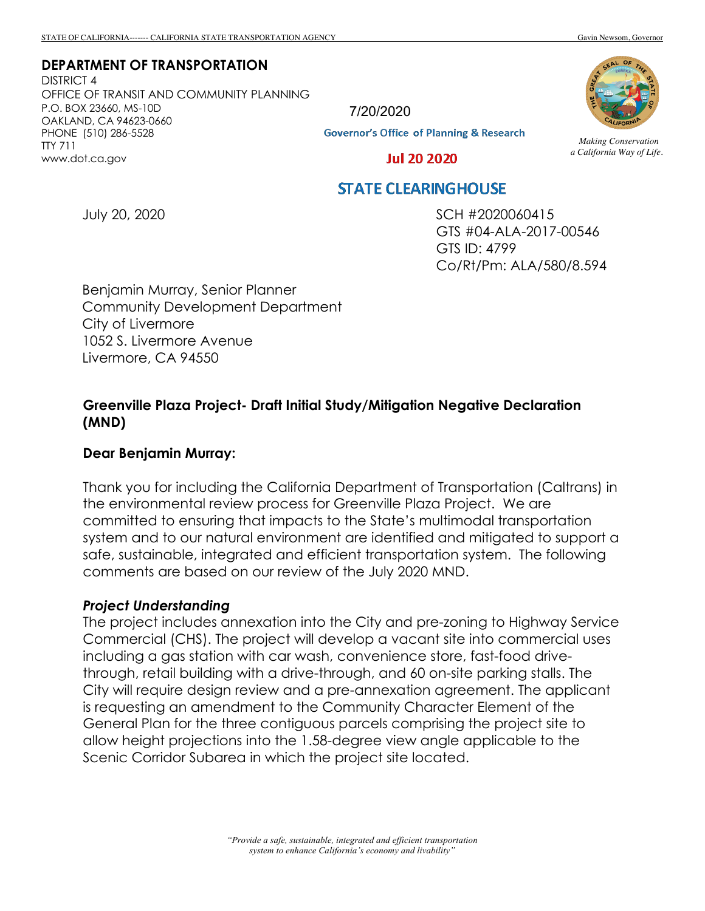#### **DEPARTMENT OF TRANSPORTATION**

DISTRICT 4 OFFICE OF TRANSIT AND COMMUNITY PLANNING P.O. BOX 23660, MS-10D OAKLAND, CA 94623-0660 PHONE (510) 286-5528 TTY 711 www.dot.ca.gov



**Governor's Office of Planning & Research** 



*Making Conservation a California Way of Life.*

**Jul 20 2020** 

# **STATE CLEARINGHOUSE**

July 20, 2020

SCH #2020060415 GTS #04-ALA-2017-00546 GTS ID: 4799 Co/Rt/Pm: ALA/580/8.594

Benjamin Murray, Senior Planner Community Development Department City of Livermore 1052 S. Livermore Avenue Livermore, CA 94550

# **Greenville Plaza Project- Draft Initial Study/Mitigation Negative Declaration (MND)**

### **Dear Benjamin Murray:**

Thank you for including the California Department of Transportation (Caltrans) in the environmental review process for Greenville Plaza Project. We are committed to ensuring that impacts to the State's multimodal transportation system and to our natural environment are identified and mitigated to support a safe, sustainable, integrated and efficient transportation system. The following comments are based on our review of the July 2020 MND.

#### *Project Understanding*

The project includes annexation into the City and pre-zoning to Highway Service Commercial (CHS). The project will develop a vacant site into commercial uses including a gas station with car wash, convenience store, fast-food drivethrough, retail building with a drive-through, and 60 on-site parking stalls. The City will require design review and a pre-annexation agreement. The applicant is requesting an amendment to the Community Character Element of the General Plan for the three contiguous parcels comprising the project site to allow height projections into the 1.58-degree view angle applicable to the Scenic Corridor Subarea in which the project site located.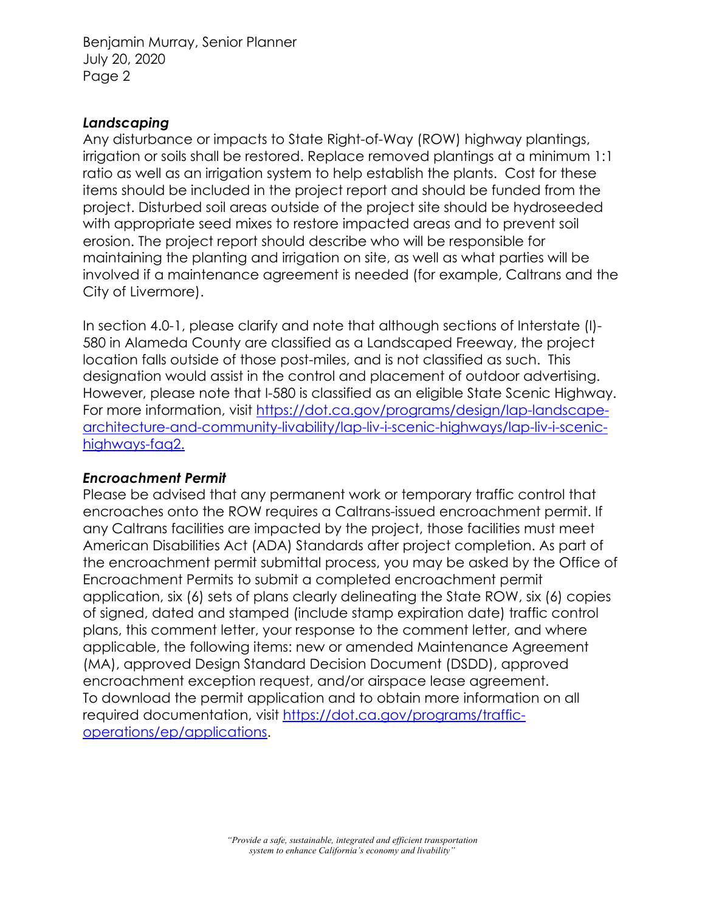Benjamin Murray, Senior Planner July 20, 2020 Page 2

## *Landscaping*

Any disturbance or impacts to State Right-of-Way (ROW) highway plantings, irrigation or soils shall be restored. Replace removed plantings at a minimum 1:1 ratio as well as an irrigation system to help establish the plants. Cost for these items should be included in the project report and should be funded from the project. Disturbed soil areas outside of the project site should be hydroseeded with appropriate seed mixes to restore impacted areas and to prevent soil erosion. The project report should describe who will be responsible for maintaining the planting and irrigation on site, as well as what parties will be involved if a maintenance agreement is needed (for example, Caltrans and the City of Livermore).

In section 4.0-1, please clarify and note that although sections of Interstate (I)- 580 in Alameda County are classified as a Landscaped Freeway, the project location falls outside of those post-miles, and is not classified as such. This designation would assist in the control and placement of outdoor advertising. However, please note that I-580 is classified as an eligible State Scenic Highway. For more information, visit https://dot.ca.gov/programs/design/lap-landscapearchitecture-and-community-livability/lap-liv-i-scenic-highways/lap-liv-i-scenichighways-faq2.

## *Encroachment Permit*

Please be advised that any permanent work or temporary traffic control that encroaches onto the ROW requires a Caltrans-issued encroachment permit. If any Caltrans facilities are impacted by the project, those facilities must meet American Disabilities Act (ADA) Standards after project completion. As part of the encroachment permit submittal process, you may be asked by the Office of Encroachment Permits to submit a completed encroachment permit application, six (6) sets of plans clearly delineating the State ROW, six (6) copies of signed, dated and stamped (include stamp expiration date) traffic control plans, this comment letter, your response to the comment letter, and where applicable, the following items: new or amended Maintenance Agreement (MA), approved Design Standard Decision Document (DSDD), approved encroachment exception request, and/or airspace lease agreement. To download the permit application and to obtain more information on all required documentation, visit https://dot.ca.gov/programs/trafficoperations/ep/applications.